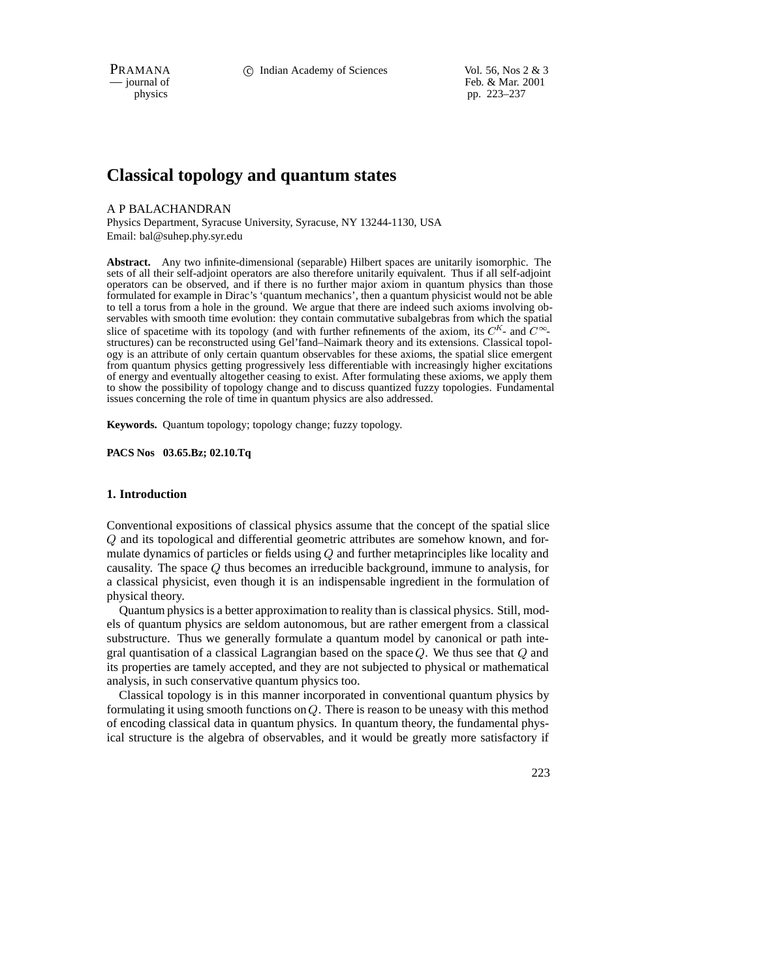PRAMANA 
<sup>c</sup> Indian Academy of Sciences Vol. 56, Nos 2 & 3<br>
c iournal of Feb. & Mar. 2001 Feb. & Mar. 2001 physics pp. 223–237

# **Classical topology and quantum states**

### A P BALACHANDRAN

Physics Department, Syracuse University, Syracuse, NY 13244-1130, USA Email: bal@suhep.phy.syr.edu

**Abstract.** Any two infinite-dimensional (separable) Hilbert spaces are unitarily isomorphic. The sets of all their self-adjoint operators are also therefore unitarily equivalent. Thus if all self-adjoint operators can be observed, and if there is no further major axiom in quantum physics than those formulated for example in Dirac's 'quantum mechanics', then a quantum physicist would not be able to tell a torus from a hole in the ground. We argue that there are indeed such axioms involving observables with smooth time evolution: they contain commutative subalgebras from which the spatial slice of spacetime with its topology (and with further refinements of the axiom, its  $C<sup>K</sup>$ - and  $C<sup>\infty</sup>$ structures) can be reconstructed using Gel'fand–Naimark theory and its extensions. Classical topology is an attribute of only certain quantum observables for these axioms, the spatial slice emergent from quantum physics getting progressively less differentiable with increasingly higher excitations of energy and eventually altogether ceasing to exist. After formulating these axioms, we apply them to show the possibility of topology change and to discuss quantized fuzzy topologies. Fundamental issues concerning the role of time in quantum physics are also addressed.

**Keywords.** Quantum topology; topology change; fuzzy topology.

**PACS Nos 03.65.Bz; 02.10.Tq**

### **1. Introduction**

Conventional expositions of classical physics assume that the concept of the spatial slice Q and its topological and differential geometric attributes are somehow known, and formulate dynamics of particles or fields using Q and further metaprinciples like locality and causality. The space Q thus becomes an irreducible background, immune to analysis, for a classical physicist, even though it is an indispensable ingredient in the formulation of physical theory.

Quantum physics is a better approximation to reality than is classical physics. Still, models of quantum physics are seldom autonomous, but are rather emergent from a classical substructure. Thus we generally formulate a quantum model by canonical or path integral quantisation of a classical Lagrangian based on the space  $Q$ . We thus see that  $Q$  and its properties are tamely accepted, and they are not subjected to physical or mathematical analysis, in such conservative quantum physics too.

Classical topology is in this manner incorporated in conventional quantum physics by formulating it using smooth functions on Q. There is reason to be uneasy with this method of encoding classical data in quantum physics. In quantum theory, the fundamental physical structure is the algebra of observables, and it would be greatly more satisfactory if

223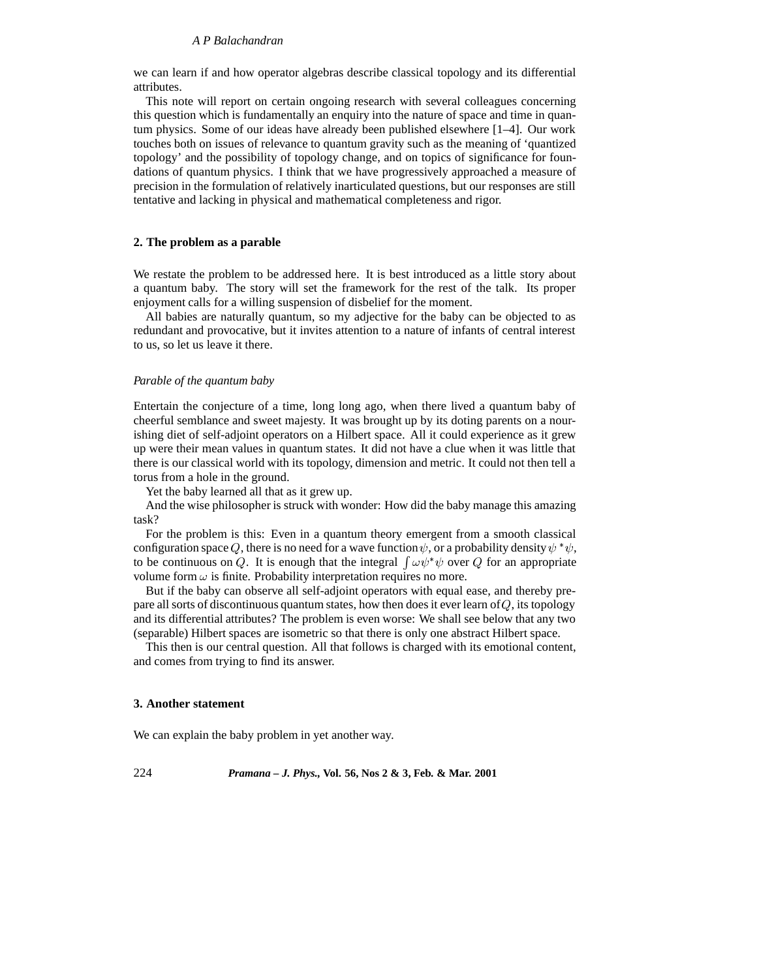we can learn if and how operator algebras describe classical topology and its differential attributes.

This note will report on certain ongoing research with several colleagues concerning this question which is fundamentally an enquiry into the nature of space and time in quantum physics. Some of our ideas have already been published elsewhere [1–4]. Our work touches both on issues of relevance to quantum gravity such as the meaning of 'quantized topology' and the possibility of topology change, and on topics of significance for foundations of quantum physics. I think that we have progressively approached a measure of precision in the formulation of relatively inarticulated questions, but our responses are still tentative and lacking in physical and mathematical completeness and rigor.

# **2. The problem as a parable**

We restate the problem to be addressed here. It is best introduced as a little story about a quantum baby. The story will set the framework for the rest of the talk. Its proper enjoyment calls for a willing suspension of disbelief for the moment.

All babies are naturally quantum, so my adjective for the baby can be objected to as redundant and provocative, but it invites attention to a nature of infants of central interest to us, so let us leave it there.

# *Parable of the quantum baby*

Entertain the conjecture of a time, long long ago, when there lived a quantum baby of cheerful semblance and sweet majesty. It was brought up by its doting parents on a nourishing diet of self-adjoint operators on a Hilbert space. All it could experience as it grew up were their mean values in quantum states. It did not have a clue when it was little that there is our classical world with its topology, dimension and metric. It could not then tell a torus from a hole in the ground.

Yet the baby learned all that as it grew up.

And the wise philosopher is struck with wonder: How did the baby manage this amazing task?

For the problem is this: Even in a quantum theory emergent from a smooth classical configuration space Q, there is no need for a wave function  $\psi$ , or a probability density  $\psi^* \psi$ , to be continuous on Q. It is enough that the integral  $\int \omega \psi^* \psi$  over Q for an appropriate volume form  $\omega$  is finite. Probability interpretation requires no more.

But if the baby can observe all self-adjoint operators with equal ease, and thereby prepare all sorts of discontinuous quantum states, how then does it ever learn of  $Q$ , its topology and its differential attributes? The problem is even worse: We shall see below that any two (separable) Hilbert spaces are isometric so that there is only one abstract Hilbert space.

This then is our central question. All that follows is charged with its emotional content, and comes from trying to find its answer.

### **3. Another statement**

We can explain the baby problem in yet another way.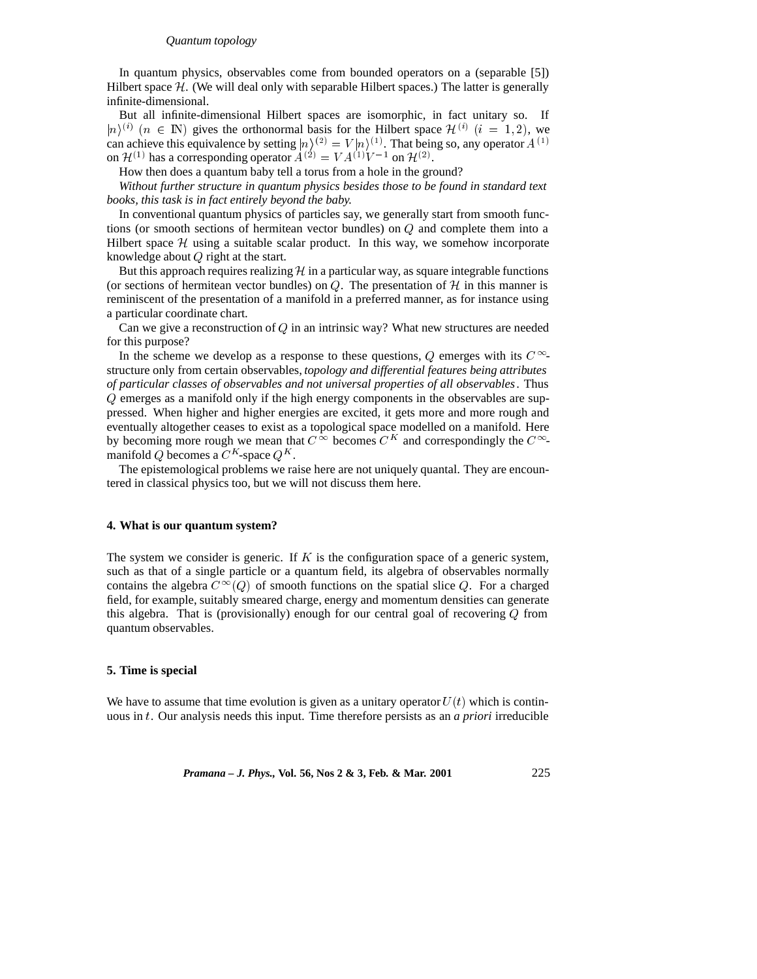In quantum physics, observables come from bounded operators on a (separable [5]) Hilbert space  $H$ . (We will deal only with separable Hilbert spaces.) The latter is generally infinite-dimensional.

But all infinite-dimensional Hilbert spaces are isomorphic, in fact unitary so. If  $|n\rangle^{(i)}$   $(n \in \mathbb{N})$  gives the orthonormal basis for the Hilbert space  $\mathcal{H}^{(i)}$   $(i = 1, 2)$ , we can achieve this equivalence by setting  $|n\rangle^{(2)} = V|n\rangle^{(1)}$ . That being so, any operator  $A^{(1)}$ on  $\mathcal{H}^{(1)}$  has a corresponding operator  $A^{(2)} = VA^{(1)}V^{-1}$  on  $\mathcal{H}^{(2)}$ .

How then does a quantum baby tell a torus from a hole in the ground?

*Without further structure in quantum physics besides those to be found in standard text books, this task is in fact entirely beyond the baby.*

In conventional quantum physics of particles say, we generally start from smooth functions (or smooth sections of hermitean vector bundles) on  $Q$  and complete them into a Hilbert space  $H$  using a suitable scalar product. In this way, we somehow incorporate knowledge about Q right at the start.

But this approach requires realizing  $H$  in a particular way, as square integrable functions (or sections of hermitean vector bundles) on  $Q$ . The presentation of  $H$  in this manner is reminiscent of the presentation of a manifold in a preferred manner, as for instance using a particular coordinate chart.

Can we give a reconstruction of  $Q$  in an intrinsic way? What new structures are needed for this purpose?

In the scheme we develop as a response to these questions, Q emerges with its  $C^{\infty}$ structure only from certain observables, *topology and differential features being attributes of particular classes of observables and not universal properties of all observables*. Thus Q emerges as a manifold only if the high energy components in the observables are suppressed. When higher and higher energies are excited, it gets more and more rough and eventually altogether ceases to exist as a topological space modelled on a manifold. Here by becoming more rough we mean that  $C^{\infty}$  becomes  $C^{K}$  and correspondingly the  $C^{\infty}$ manifold Q becomes a  $C^{K}$ -space  $Q^{K}$ .

The epistemological problems we raise here are not uniquely quantal. They are encountered in classical physics too, but we will not discuss them here.

#### **4. What is our quantum system?**

The system we consider is generic. If  $K$  is the configuration space of a generic system, such as that of a single particle or a quantum field, its algebra of observables normally contains the algebra  $C^{\infty}(Q)$  of smooth functions on the spatial slice Q. For a charged field, for example, suitably smeared charge, energy and momentum densities can generate this algebra. That is (provisionally) enough for our central goal of recovering  $Q$  from quantum observables.

### **5. Time is special**

We have to assume that time evolution is given as a unitary operator  $U(t)$  which is continuous in t. Our analysis needs this input. Time therefore persists as an *a priori* irreducible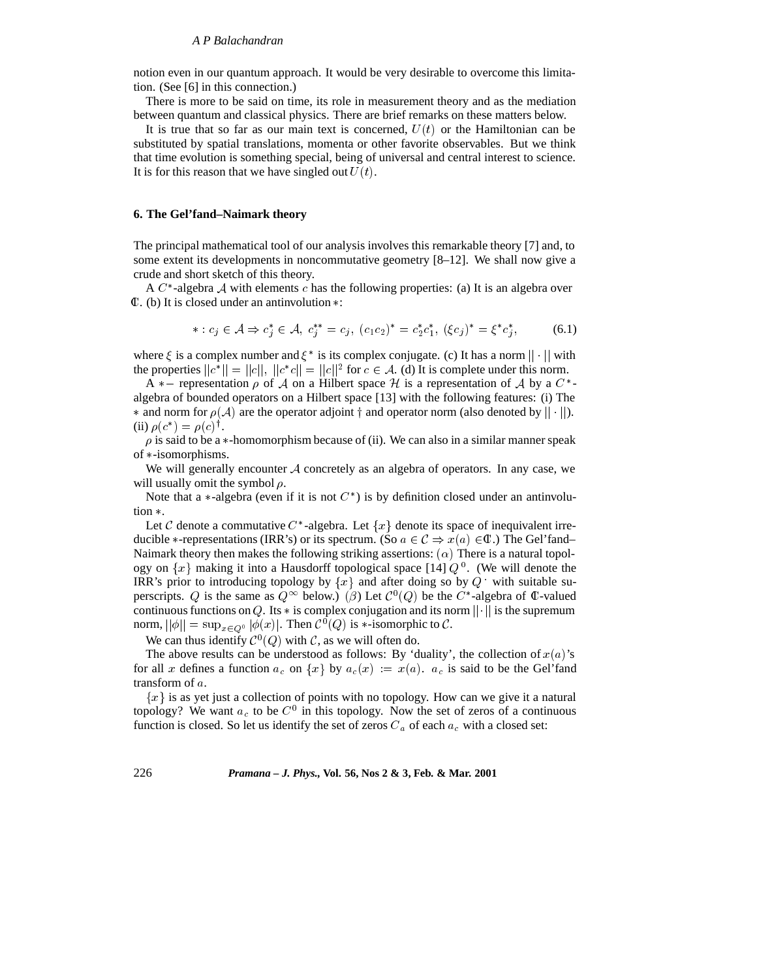notion even in our quantum approach. It would be very desirable to overcome this limitation. (See [6] in this connection.)

There is more to be said on time, its role in measurement theory and as the mediation between quantum and classical physics. There are brief remarks on these matters below.

It is true that so far as our main text is concerned,  $U(t)$  or the Hamiltonian can be substituted by spatial translations, momenta or other favorite observables. But we think that time evolution is something special, being of universal and central interest to science. It is for this reason that we have singled out  $U(t)$ .

#### **6. The Gel'fand–Naimark theory**

The principal mathematical tool of our analysis involves this remarkable theory [7] and, to some extent its developments in noncommutative geometry [8–12]. We shall now give a crude and short sketch of this theory.

A  $C^*$ -algebra  $A$  with elements c has the following properties: (a) It is an algebra over  $\mathbb C$ . (b) It is closed under an antinvolution  $\ast$ :

$$
* : c_j \in \mathcal{A} \Rightarrow c_j^* \in \mathcal{A}, \ c_j^{**} = c_j, \ (c_1 c_2)^* = c_2^* c_1^*, \ (\xi c_j)^* = \xi^* c_j^*, \tag{6.1}
$$

where  $\xi$  is a complex number and  $\xi^*$  is its complex conjugate. (c) It has a norm  $|| \cdot ||$  with the properties  $||c^*|| = ||c||$ ,  $||c^*c|| = ||c||^2$  for  $c \in \mathcal{A}$ . (d) It is complete under this norm.

A  $*-$  representation  $\rho$  of A on a Hilbert space H is a representation of A by a  $C^*$ algebra of bounded operators on a Hilbert space [13] with the following features: (i) The \* and norm for  $\rho(\mathcal{A})$  are the operator adjoint  $\dagger$  and operator norm (also denoted by  $||\cdot||$ ). (ii)  $\rho(c^*) = \rho(c)^{\dagger}$ .

 $\rho$  is said to be a  $*$ -homomorphism because of (ii). We can also in a similar manner speak of \*-isomorphisms.

We will generally encounter  $A$  concretely as an algebra of operators. In any case, we will usually omit the symbol  $\rho$ .

Note that a  $*$ -algebra (even if it is not  $C^*$ ) is by definition closed under an antinvolution  $\ast$ .

Let C denote a commutative C<sup>\*</sup>-algebra. Let  $\{x\}$  denote its space of inequivalent irreducible  $*$ -representations (IRR's) or its spectrum. (So  $a \in \mathcal{C} \Rightarrow x(a) \in \mathbb{C}$ .) The Gel'fand– Naimark theory then makes the following striking assertions:  $(\alpha)$  There is a natural topology on  $\{x\}$  making it into a Hausdorff topological space [14]  $Q<sup>0</sup>$ . (We will denote the IRR's prior to introducing topology by  $\{x\}$  and after doing so by  $Q$  with suitable superscripts. Q is the same as  $Q^{\infty}$  below.) ( $\beta$ ) Let  $C^{0}(Q)$  be the  $C^*$ -algebra of  $\mathbb{C}$ -valued continuous functions on Q. Its  $*$  is complex conjugation and its norm  $|| \cdot ||$  is the supremum norm,  $||\phi|| = \sup_{x \in Q^0} |\phi(x)|$ . Then  $\mathcal{C}^0(Q)$  is \*-isomorphic to  $\mathcal{C}$ .

We can thus identify  $\mathcal{C}^0(Q)$  with C, as we will often do.

The above results can be understood as follows: By 'duality', the collection of  $x(a)$ 's for all x defines a function  $a_c$  on  $\{x\}$  by  $a_c(x) := x(a)$ .  $a_c$  is said to be the Gel'fand transform of a.

 ${x}$  is as yet just a collection of points with no topology. How can we give it a natural topology? We want  $a_c$  to be  $C^0$  in this topology. Now the set of zeros of a continuous function is closed. So let us identify the set of zeros  $C_a$  of each  $a_c$  with a closed set: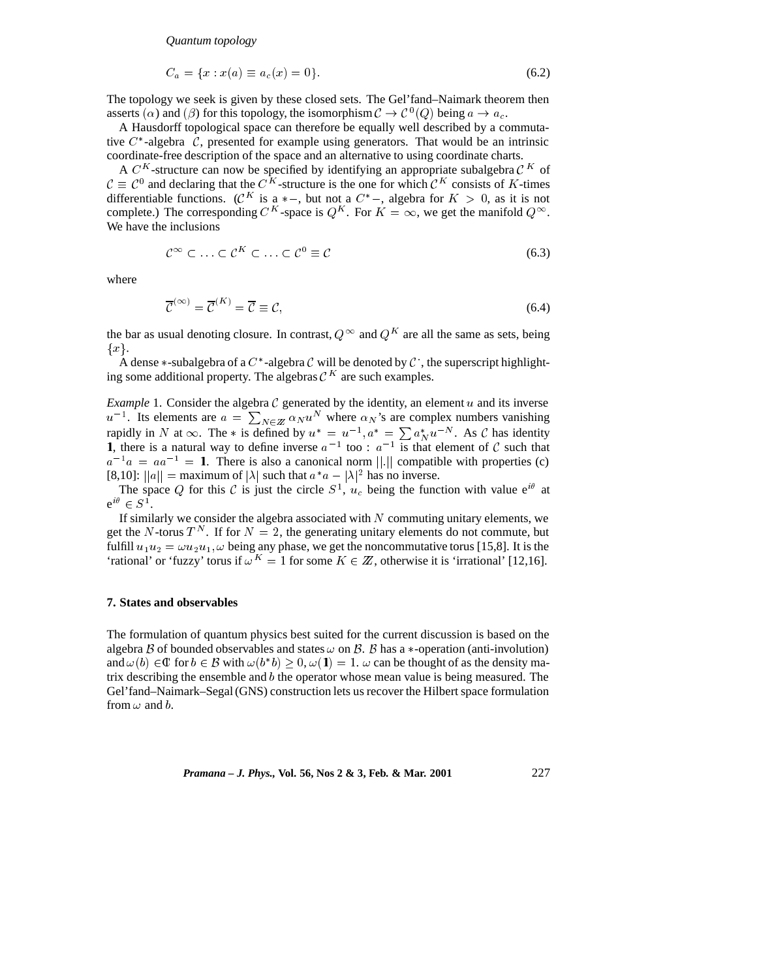$$
C_a = \{x : x(a) \equiv a_c(x) = 0\}.
$$
\n(6.2)

The topology we seek is given by these closed sets. The Gel'fand–Naimark theorem then asserts ( $\alpha$ ) and ( $\beta$ ) for this topology, the isomorphism  $C \to C^0(Q)$  being  $a \to a_c$ .

A Hausdorff topological space can therefore be equally well described by a commutative  $C^*$ -algebra  $\mathcal C$ , presented for example using generators. That would be an intrinsic coordinate-free description of the space and an alternative to using coordinate charts.

A  $C<sup>K</sup>$ -structure can now be specified by identifying an appropriate subalgebra  $\mathcal{C}<sup>K</sup>$  of  $\mathcal{C} \equiv \mathcal{C}^0$  and declaring that the C<sup>K</sup>-structure is the one for which  $\mathcal{C}^K$  consists of K-times differentiable functions. (C<sup>K</sup> is a  $*-$ , but not a  $C^*$ -, algebra for  $K > 0$ , as it is not complete.) The corresponding C<sup>K</sup>-space is  $Q<sup>K</sup>$ . For  $K = \infty$ , we get the manifold  $Q<sup>\infty</sup>$ . We have the inclusions

$$
\mathcal{C}^{\infty} \subset \ldots \subset \mathcal{C}^{K} \subset \ldots \subset \mathcal{C}^{0} \equiv \mathcal{C}
$$
 (6.3)

where

$$
\overline{\mathcal{C}}^{(\infty)} = \overline{\mathcal{C}}^{(K)} = \overline{\mathcal{C}} \equiv \mathcal{C},\tag{6.4}
$$

the bar as usual denoting closure. In contrast,  $Q^{\infty}$  and  $Q^{K}$  are all the same as sets, being  ${x}$ .

A dense \*-subalgebra of a  $C^*$ -algebra  $C$  will be denoted by  $C$ , the superscript highlighting some additional property. The algebras  $\mathcal{C}^K$  are such examples.

*Example* 1. Consider the algebra  $C$  generated by the identity, an element  $u$  and its inverse  $u^{-1}$ . Its elements are  $a = \sum_{N \in \mathbb{Z}} \alpha_N u^N$  where  $\alpha_N$ 's are complex numbers vanishing rapidly in N at  $\infty$ . The  $*$  is defined by  $u^* = u^{-1}$ ,  $a^* = \sum a_N^* u^{-N}$ . As C has identity 1, there is a natural way to define inverse  $a^{-1}$  too :  $a^{-1}$  is that element of C such that  $a^{-1}a = aa^{-1} = 1$ . There is also a canonical norm ||.|| compatible with properties (c) [8,10]:  $||a|| =$  maximum of  $|\lambda|$  such that  $a^* a - |\lambda|^2$  has no inverse.

The space Q for this C is just the circle  $S^1$ ,  $u_c$  being the function with value  $e^{i\theta}$  at  $e^{i\theta} \in S^1$ .

If similarly we consider the algebra associated with  $N$  commuting unitary elements, we get the N-torus  $T^N$ . If for  $N = 2$ , the generating unitary elements do not commute, but fulfill  $u_1u_2 = \omega u_2u_1$ ,  $\omega$  being any phase, we get the noncommutative torus [15,8]. It is the 'rational' or 'fuzzy' torus if  $\omega^K = 1$  for some  $K \in \mathbb{Z}$ , otherwise it is 'irrational' [12,16].

### **7. States and observables**

The formulation of quantum physics best suited for the current discussion is based on the algebra B of bounded observables and states  $\omega$  on B. B has a  $*$ -operation (anti-involution) and  $\omega(b) \in \mathbb{C}$  for  $b \in \mathcal{B}$  with  $\omega(b^*b) \geq 0$ ,  $\omega(1)=1$ .  $\omega$  can be thought of as the density matrix describing the ensemble and  $b$  the operator whose mean value is being measured. The Gel'fand–Naimark–Segal (GNS) construction lets us recover the Hilbert space formulation from  $\omega$  and  $b$ .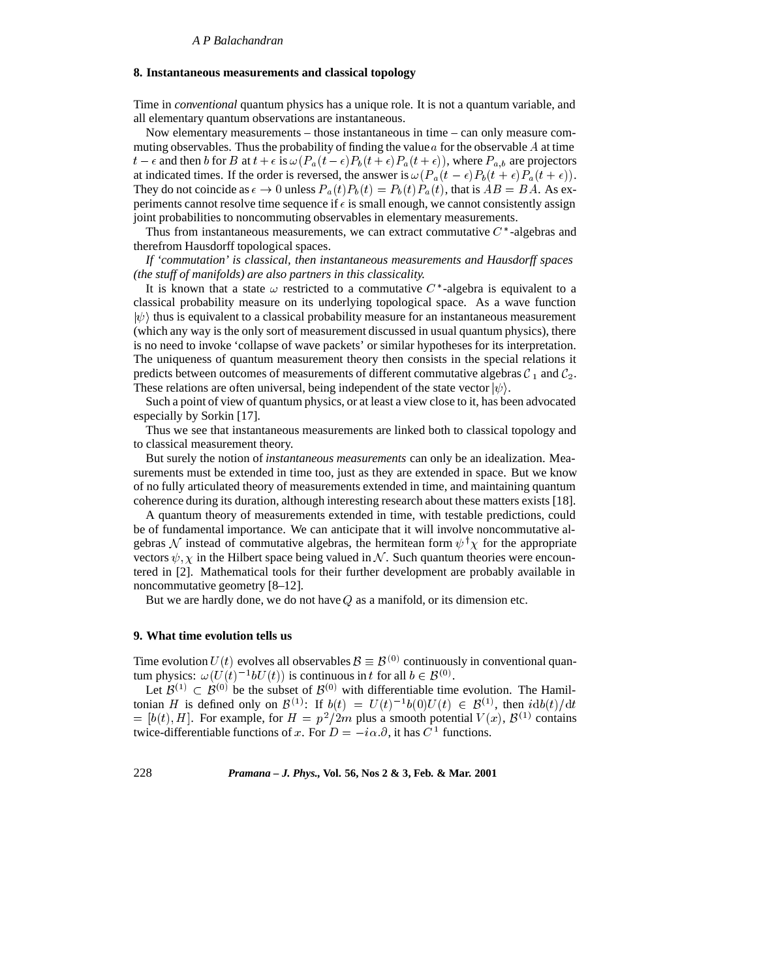### **8. Instantaneous measurements and classical topology**

Time in *conventional* quantum physics has a unique role. It is not a quantum variable, and all elementary quantum observations are instantaneous.

Now elementary measurements – those instantaneous in time – can only measure commuting observables. Thus the probability of finding the value  $\alpha$  for the observable  $\Lambda$  at time  $t - \epsilon$  and then b for B at  $t + \epsilon$  is  $\omega(P_a(t - \epsilon)P_b(t + \epsilon)P_a(t + \epsilon))$ , where  $P_{a,b}$  are projectors at indicated times. If the order is reversed, the answer is  $\omega(P_a(t - \epsilon)P_b(t + \epsilon)P_a(t + \epsilon))$ . They do not coincide as  $\epsilon \to 0$  unless  $P_a(t)P_b(t)= P_b(t)P_a(t)$ , that is  $AB = BA$ . As experiments cannot resolve time sequence if  $\epsilon$  is small enough, we cannot consistently assign joint probabilities to noncommuting observables in elementary measurements.

Thus from instantaneous measurements, we can extract commutative  $C^*$ -algebras and therefrom Hausdorff topological spaces.

*If 'commutation' is classical, then instantaneous measurements and Hausdorff spaces (the stuff of manifolds) are also partners in this classicality.*

It is known that a state  $\omega$  restricted to a commutative  $C^*$ -algebra is equivalent to a classical probability measure on its underlying topological space. As a wave function  $|\psi\rangle$  thus is equivalent to a classical probability measure for an instantaneous measurement (which any way is the only sort of measurement discussed in usual quantum physics), there is no need to invoke 'collapse of wave packets' or similar hypotheses for its interpretation. The uniqueness of quantum measurement theory then consists in the special relations it predicts between outcomes of measurements of different commutative algebras  $C_1$  and  $C_2$ . These relations are often universal, being independent of the state vector  $|\psi\rangle$ .

Such a point of view of quantum physics, or at least a view close to it, has been advocated especially by Sorkin [17].

Thus we see that instantaneous measurements are linked both to classical topology and to classical measurement theory.

But surely the notion of *instantaneous measurements* can only be an idealization. Measurements must be extended in time too, just as they are extended in space. But we know of no fully articulated theory of measurements extended in time, and maintaining quantum coherence during its duration, although interesting research about these matters exists [18].

A quantum theory of measurements extended in time, with testable predictions, could be of fundamental importance. We can anticipate that it will involve noncommutative algebras N instead of commutative algebras, the hermitean form  $\psi^{\dagger} \chi$  for the appropriate vectors  $\psi$ ,  $\chi$  in the Hilbert space being valued in N. Such quantum theories were encountered in [2]. Mathematical tools for their further development are probably available in noncommutative geometry [8–12].

But we are hardly done, we do not have  $Q$  as a manifold, or its dimension etc.

# **9. What time evolution tells us**

Time evolution  $U(t)$  evolves all observables  $\mathcal{B} \equiv \mathcal{B}^{(0)}$  continuously in conventional quantum physics:  $\omega(U(t)^{-1}bU(t))$  is continuous in t for all  $b \in \mathcal{B}^{(0)}$ .

Let  $\mathcal{B}^{(1)} \subset \mathcal{B}^{(0)}$  be the subset of  $\mathcal{B}^{(0)}$  with differentiable time evolution. The Hamiltonian H is defined only on  $\mathcal{B}^{(1)}$ : If  $b(t) = U(t)^{-1}b(0)U(t) \in \mathcal{B}^{(1)}$ , then  $i\mathrm{d}b(t)/\mathrm{d}t$  $=[b(t), H]$ . For example, for  $H = p^2/2m$  plus a smooth potential  $V(x)$ ,  $\mathcal{B}^{(1)}$  contains twice-differentiable functions of x. For  $D = -i\alpha \cdot \partial$ , it has  $C<sup>1</sup>$  functions.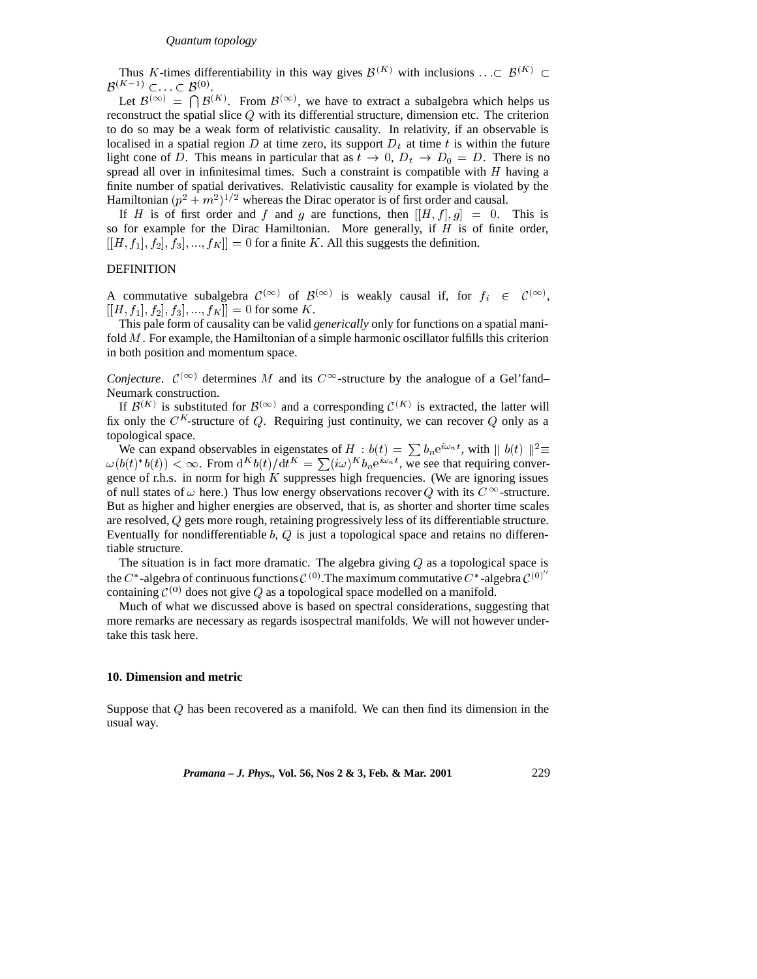Thus K-times differentiability in this way gives  $\mathcal{B}^{(K)}$  with inclusions  $\ldots \subset \mathcal{B}^{(K)}$  $\mathcal{B}^{(K-1)} \subset \ldots \subset \mathcal{B}^{(0)}.$ 

Let  $\mathcal{B}^{(\infty)} = \bigcap \mathcal{B}^{(K)}$ . From  $\mathcal{B}^{(\infty)}$ , we have to extract a subalgebra which helps us reconstruct the spatial slice Q with its differential structure, dimension etc. The criterion to do so may be a weak form of relativistic causality. In relativity, if an observable is localised in a spatial region D at time zero, its support  $D_t$  at time t is within the future light cone of D. This means in particular that as  $t \to 0$ ,  $D_t \to D_0 = D$ . There is no spread all over in infinitesimal times. Such a constraint is compatible with  $H$  having a finite number of spatial derivatives. Relativistic causality for example is violated by the Hamiltonian  $(p^2 + m^2)^{1/2}$  whereas the Dirac operator is of first order and causal.

If H is of first order and f and g are functions, then  $[[H, f], g] = 0$ . This is so for example for the Dirac Hamiltonian. More generally, if  $H$  is of finite order,  $[[H, f<sub>1</sub>], f<sub>2</sub>], f<sub>3</sub>], ..., f<sub>K</sub>]] = 0$  for a finite K. All this suggests the definition.

## DEFINITION

A commutative subalgebra  $\mathcal{C}^{(\infty)}$  of  $\mathcal{B}^{(\infty)}$  is weakly causal if, for  $f_i \in \mathcal{C}^{(\infty)}$ ,  $[[H, f<sub>1</sub>], f<sub>2</sub>], f<sub>3</sub>], ..., f<sub>K</sub>$ <sup> $[]$ </sup> = 0 for some *K*.

This pale form of causality can be valid *generically* only for functions on a spatial manifold M. For example, the Hamiltonian of a simple harmonic oscillator fulfills this criterion in both position and momentum space.

*Conjecture.*  $C^{(\infty)}$  determines M and its  $C^{\infty}$ -structure by the analogue of a Gel'fand– Neumark construction.

If  $\mathcal{B}^{(K)}$  is substituted for  $\mathcal{B}^{(\infty)}$  and a corresponding  $\mathcal{C}^{(K)}$  is extracted, the latter will fix only the  $C^{K}$ -structure of Q. Requiring just continuity, we can recover Q only as a topological space.

We can expand observables in eigenstates of  $H : b(t) = \sum b_n e^{i\omega_n t}$ , with  $||b(t)||^2 \equiv$  $\omega(b(t)^*b(t)) < \infty$ . From  $d^K b(t)/dt^K = \sum_i (i\omega)^K b_n e^{i\omega_n t}$ , we see that requiring convergence of r.h.s. in norm for high  $K$  suppresses high frequencies. (We are ignoring issues of null states of  $\omega$  here.) Thus low energy observations recover Q with its  $C^{\infty}$ -structure. But as higher and higher energies are observed, that is, as shorter and shorter time scales are resolved, Q gets more rough, retaining progressively less of its differentiable structure. Eventually for nondifferentiable  $b, Q$  is just a topological space and retains no differentiable structure.

The situation is in fact more dramatic. The algebra giving  $Q$  as a topological space is the C<sup>\*</sup>-algebra of continuous functions C<sup>(0)</sup>. The maximum commutative C<sup>\*</sup>-algebra C<sup>(0)''</sup> containing  $\mathcal{C}^{(0)}$  does not give Q as a topological space modelled on a manifold.

Much of what we discussed above is based on spectral considerations, suggesting that more remarks are necessary as regards isospectral manifolds. We will not however undertake this task here.

#### **10. Dimension and metric**

Suppose that <sup>Q</sup> has been recovered as a manifold. We can then find its dimension in the usual way.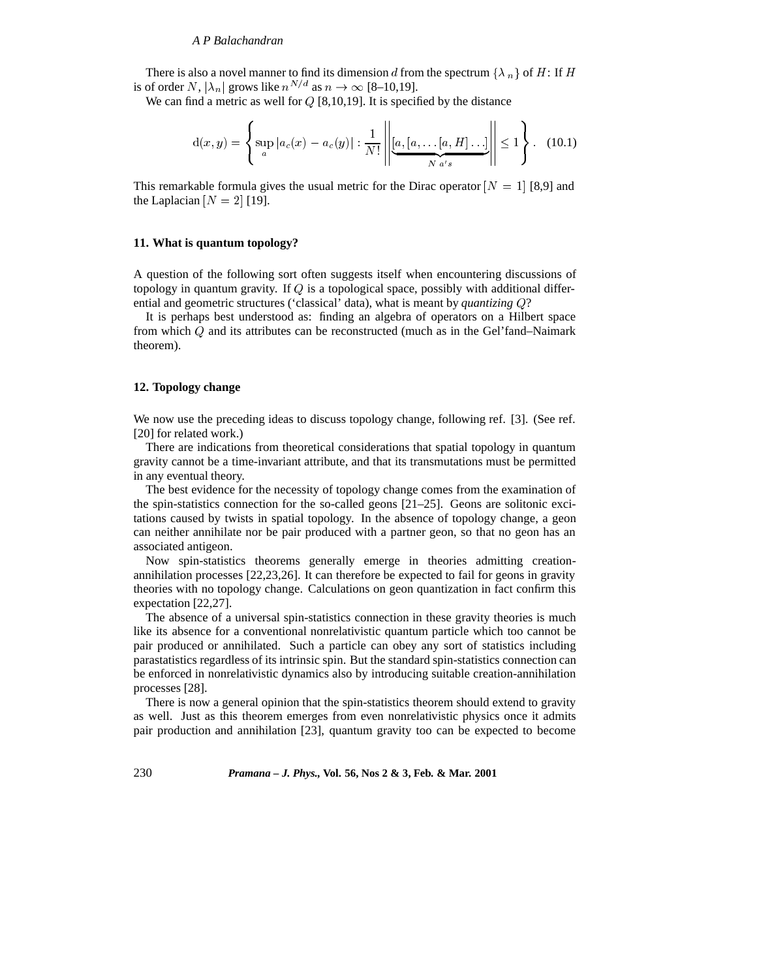There is also a novel manner to find its dimension d from the spectrum  $\{\lambda_n\}$  of H: If H is of order N,  $|\lambda_n|$  grows like  $n^{N/d}$  as  $n \to \infty$  [8–10,19].

We can find a metric as well for  $Q$  [8,10,19]. It is specified by the distance

$$
d(x,y) = \left\{ \sup_a |a_c(x) - a_c(y)| : \frac{1}{N!} \left| \left| \underbrace{[a,[a,\ldots [a,H]\ldots]}_{N \ a's} \right| \right| \le 1 \right\}.
$$
 (10.1)

This remarkable formula gives the usual metric for the Dirac operator  $[N = 1]$  [8,9] and the Laplacian  $[N = 2]$  [19].

# **11. What is quantum topology?**

A question of the following sort often suggests itself when encountering discussions of topology in quantum gravity. If  $Q$  is a topological space, possibly with additional differential and geometric structures ('classical' data), what is meant by *quantizing* Q?

It is perhaps best understood as: finding an algebra of operators on a Hilbert space from which Q and its attributes can be reconstructed (much as in the Gel'fand–Naimark theorem).

# **12. Topology change**

We now use the preceding ideas to discuss topology change, following ref. [3]. (See ref. [20] for related work.)

There are indications from theoretical considerations that spatial topology in quantum gravity cannot be a time-invariant attribute, and that its transmutations must be permitted in any eventual theory.

The best evidence for the necessity of topology change comes from the examination of the spin-statistics connection for the so-called geons [21–25]. Geons are solitonic excitations caused by twists in spatial topology. In the absence of topology change, a geon can neither annihilate nor be pair produced with a partner geon, so that no geon has an associated antigeon.

Now spin-statistics theorems generally emerge in theories admitting creationannihilation processes [22,23,26]. It can therefore be expected to fail for geons in gravity theories with no topology change. Calculations on geon quantization in fact confirm this expectation [22,27].

The absence of a universal spin-statistics connection in these gravity theories is much like its absence for a conventional nonrelativistic quantum particle which too cannot be pair produced or annihilated. Such a particle can obey any sort of statistics including parastatistics regardless of its intrinsic spin. But the standard spin-statistics connection can be enforced in nonrelativistic dynamics also by introducing suitable creation-annihilation processes [28].

There is now a general opinion that the spin-statistics theorem should extend to gravity as well. Just as this theorem emerges from even nonrelativistic physics once it admits pair production and annihilation [23], quantum gravity too can be expected to become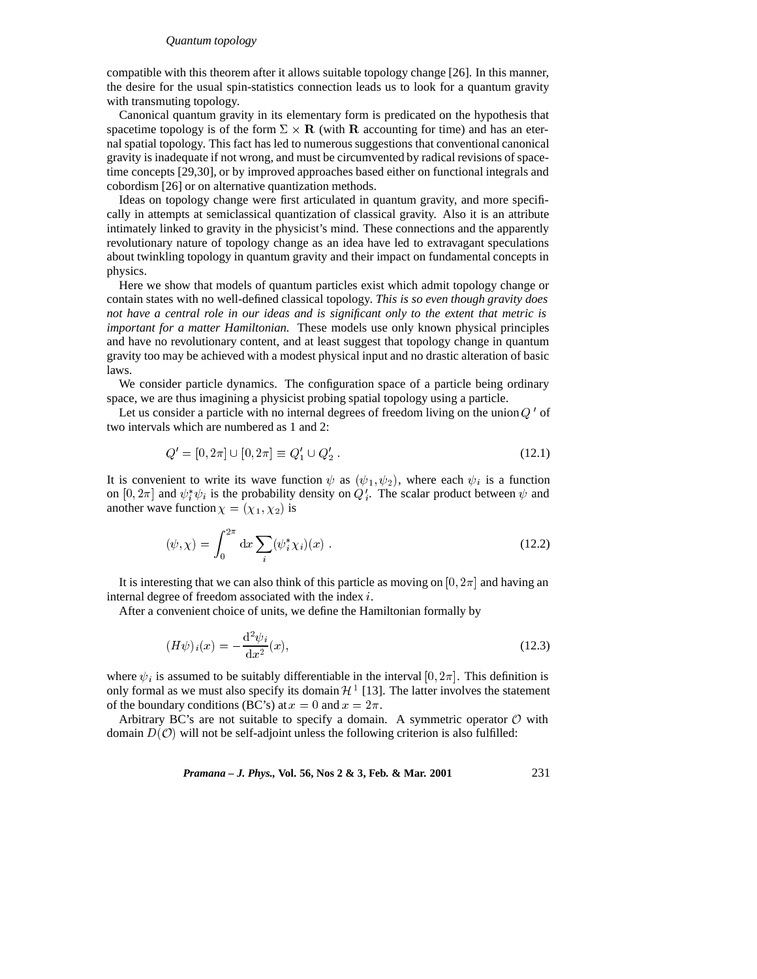compatible with this theorem after it allows suitable topology change [26]. In this manner, the desire for the usual spin-statistics connection leads us to look for a quantum gravity with transmuting topology.

Canonical quantum gravity in its elementary form is predicated on the hypothesis that spacetime topology is of the form  $\Sigma \times \mathbf{R}$  (with **R** accounting for time) and has an eternal spatial topology. This fact has led to numerous suggestions that conventional canonical gravity is inadequate if not wrong, and must be circumvented by radical revisions of spacetime concepts [29,30], or by improved approaches based either on functional integrals and cobordism [26] or on alternative quantization methods.

Ideas on topology change were first articulated in quantum gravity, and more specifically in attempts at semiclassical quantization of classical gravity. Also it is an attribute intimately linked to gravity in the physicist's mind. These connections and the apparently revolutionary nature of topology change as an idea have led to extravagant speculations about twinkling topology in quantum gravity and their impact on fundamental concepts in physics.

Here we show that models of quantum particles exist which admit topology change or contain states with no well-defined classical topology. *This is so even though gravity does not have a central role in our ideas and is significant only to the extent that metric is important for a matter Hamiltonian.* These models use only known physical principles and have no revolutionary content, and at least suggest that topology change in quantum gravity too may be achieved with a modest physical input and no drastic alteration of basic laws.

We consider particle dynamics. The configuration space of a particle being ordinary space, we are thus imagining a physicist probing spatial topology using a particle.

Let us consider a particle with no internal degrees of freedom living on the union  $Q'$  of two intervals which are numbered as 1 and 2:

$$
Q' = [0, 2\pi] \cup [0, 2\pi] \equiv Q'_1 \cup Q'_2. \tag{12.1}
$$

It is convenient to write its wave function  $\psi$  as  $(\psi_1, \psi_2)$ , where each  $\psi_i$  is a function on  $[0, 2\pi]$  and  $\psi_i^* \psi_i$  is the probability density on  $Q_i'$ . The scalar product between  $\psi$  and another wave function  $\chi = (\chi_1, \chi_2)$  is

$$
(\psi, \chi) = \int_0^{2\pi} dx \sum_i (\psi_i^* \chi_i)(x) .
$$
 (12.2)

It is interesting that we can also think of this particle as moving on  $[0, 2\pi]$  and having an internal degree of freedom associated with the index i.

After a convenient choice of units, we define the Hamiltonian formally by

$$
(H\psi)_i(x) = -\frac{\mathrm{d}^2\psi_i}{\mathrm{d}x^2}(x),\tag{12.3}
$$

where  $\psi_i$  is assumed to be suitably differentiable in the interval [0, 2 $\pi$ ]. This definition is only formal as we must also specify its domain  $\mathcal{H}^1$  [13]. The latter involves the statement of the boundary conditions (BC's) at  $x = 0$  and  $x = 2\pi$ .

Arbitrary BC's are not suitable to specify a domain. A symmetric operator  $O$  with domain  $D(\mathcal{O})$  will not be self-adjoint unless the following criterion is also fulfilled:

*Pramana – J. Phys.,* **Vol. 56, Nos 2 & 3, Feb. & Mar. 2001** 231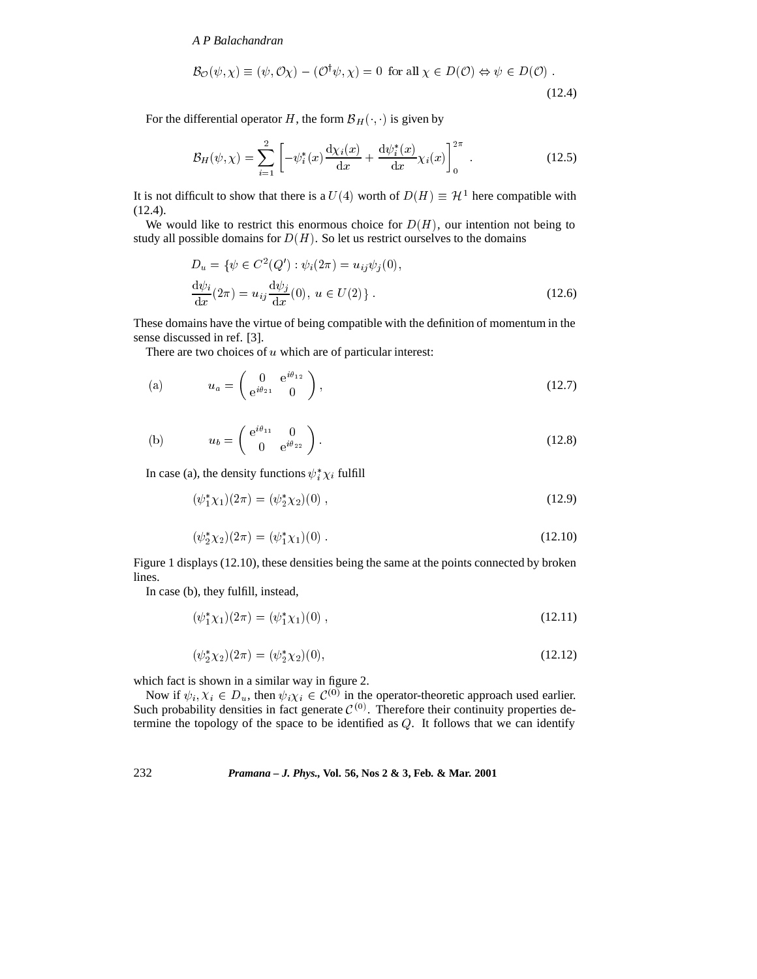$$
\mathcal{B}_{\mathcal{O}}(\psi, \chi) \equiv (\psi, \mathcal{O}\chi) - (\mathcal{O}^{\dagger}\psi, \chi) = 0 \text{ for all } \chi \in D(\mathcal{O}) \Leftrightarrow \psi \in D(\mathcal{O})
$$
 (12.4)

For the differential operator H, the form  $\mathcal{B}_H(\cdot, \cdot)$  is given by

$$
\mathcal{B}_H(\psi, \chi) = \sum_{i=1}^2 \left[ -\psi_i^*(x) \frac{\mathrm{d}\chi_i(x)}{\mathrm{d}x} + \frac{\mathrm{d}\psi_i^*(x)}{\mathrm{d}x} \chi_i(x) \right]_0^{2\pi} . \tag{12.5}
$$

It is not difficult to show that there is a  $U(4)$  worth of  $D(H) \equiv \mathcal{H}^1$  here compatible with (12.4).

We would like to restrict this enormous choice for  $D(H)$ , our intention not being to study all possible domains for  $D(H)$ . So let us restrict ourselves to the domains

$$
D_u = \{ \psi \in C^2(Q') : \psi_i(2\pi) = u_{ij}\psi_j(0), \frac{d\psi_i}{dx}(2\pi) = u_{ij}\frac{d\psi_j}{dx}(0), u \in U(2) \}.
$$
\n(12.6)

These domains have the virtue of being compatible with the definition of momentum in the sense discussed in ref. [3].

There are two choices of  $u$  which are of particular interest:

$$
\text{(a)} \qquad \qquad u_a = \left(\begin{array}{cc} 0 & e^{i\theta_{12}} \\ e^{i\theta_{21}} & 0 \end{array}\right),\tag{12.7}
$$

$$
\text{(b)} \qquad \qquad u_b = \left(\begin{array}{cc} e^{i\theta_{11}} & 0\\ 0 & e^{i\theta_{22}} \end{array}\right). \tag{12.8}
$$

In case (a), the density functions  $\psi_i^* \chi_i$  fulfill

$$
(\psi_1^* \chi_1)(2\pi) = (\psi_2^* \chi_2)(0) , \qquad (12.9)
$$

$$
(\psi_2^* \chi_2)(2\pi) = (\psi_1^* \chi_1)(0) \tag{12.10}
$$

Figure 1 displays (12.10), these densities being the same at the points connected by broken lines.

In case (b), they fulfill, instead,

$$
(\psi_1^* \chi_1)(2\pi) = (\psi_1^* \chi_1)(0) , \qquad (12.11)
$$

$$
(\psi_2^* \chi_2)(2\pi) = (\psi_2^* \chi_2)(0), \tag{12.12}
$$

which fact is shown in a similar way in figure 2.

Now if  $\psi_i, \chi_i \in D_u$ , then  $\psi_i \chi_i \in C^{(0)}$  in the operator-theoretic approach used earlier. Such probability densities in fact generate  $\mathcal{C}^{(0)}$ . Therefore their continuity properties determine the topology of the space to be identified as  $Q$ . It follows that we can identify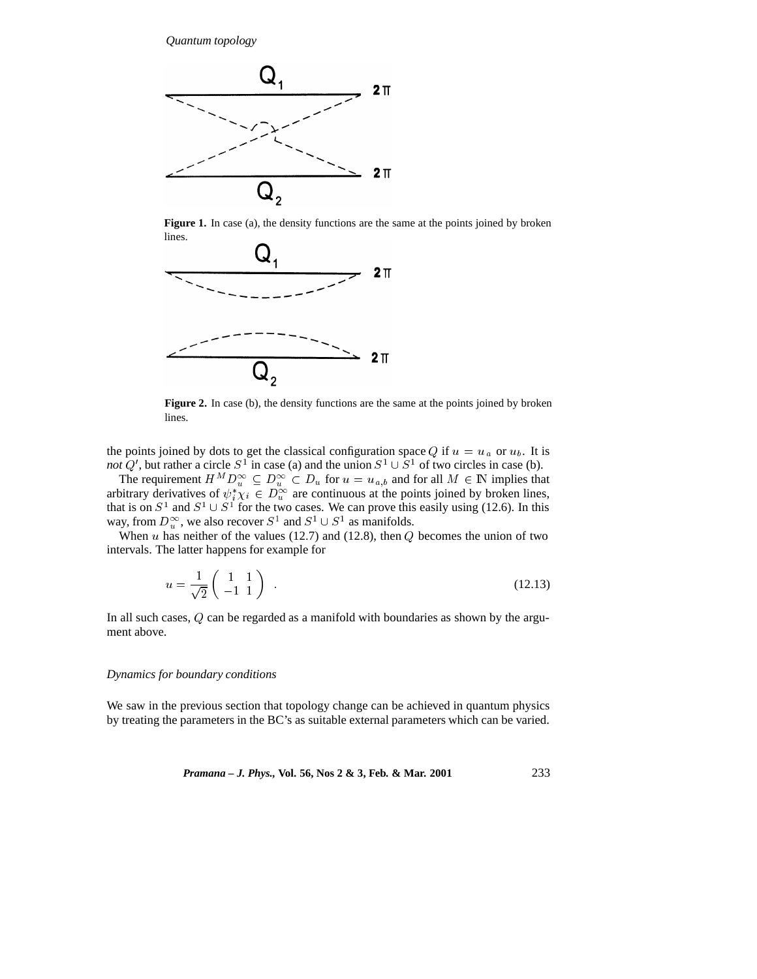

Figure 1. In case (a), the density functions are the same at the points joined by broken lines.



**Figure 2.** In case (b), the density functions are the same at the points joined by broken lines.

the points joined by dots to get the classical configuration space Q if  $u = u_a$  or  $u_b$ . It is *not*  $Q'$ , but rather a circle  $S<sup>1</sup>$  in case (a) and the union  $S<sup>1</sup> \cup S<sup>1</sup>$  of two circles in case (b).

The requirement  $H^M D_u^{\infty} \subseteq D_u^{\infty} \subset D_u$  for  $u = u_{a,b}$  and for all  $M \in \mathbb{N}$  implies that arbitrary derivatives of  $\psi_i^* \chi_i \in D_u^{\infty}$  are continuous at the points joined by broken lines, that is on  $S^1$  and  $S^1 \cup S^1$  for the two cases. We can prove this easily using (12.6). In this way, from  $D_u^{\infty}$ , we also recover  $S^1$  and  $S^1 \cup S^1$  as manifolds.

When  $u$  has neither of the values (12.7) and (12.8), then  $Q$  becomes the union of two intervals. The latter happens for example for

$$
u = \frac{1}{\sqrt{2}} \begin{pmatrix} 1 & 1 \\ -1 & 1 \end{pmatrix} \tag{12.13}
$$

In all such cases, Q can be regarded as a manifold with boundaries as shown by the argument above.

## *Dynamics for boundary conditions*

We saw in the previous section that topology change can be achieved in quantum physics by treating the parameters in the BC's as suitable external parameters which can be varied.

*Pramana – J. Phys.,* **Vol. 56, Nos 2 & 3, Feb. & Mar. 2001** 233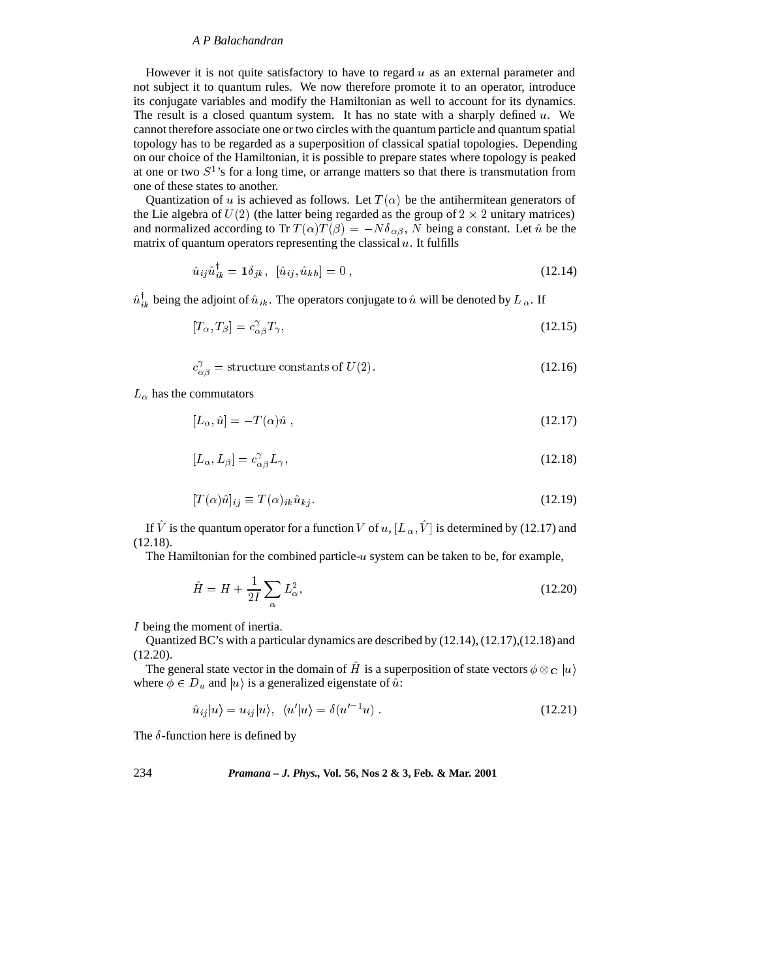However it is not quite satisfactory to have to regard  $u$  as an external parameter and not subject it to quantum rules. We now therefore promote it to an operator, introduce its conjugate variables and modify the Hamiltonian as well to account for its dynamics. The result is a closed quantum system. It has no state with a sharply defined  $u$ . We cannot therefore associate one or two circles with the quantum particle and quantum spatial topology has to be regarded as a superposition of classical spatial topologies. Depending on our choice of the Hamiltonian, it is possible to prepare states where topology is peaked at one or two  $S<sup>1</sup>$ 's for a long time, or arrange matters so that there is transmutation from one of these states to another.

Quantization of u is achieved as follows. Let  $T(\alpha)$  be the antihermitean generators of the Lie algebra of  $U(2)$  (the latter being regarded as the group of  $2 \times 2$  unitary matrices) and normalized according to Tr  $T(\alpha)T(\beta) = -N\delta_{\alpha\beta}$ , N being a constant. Let  $\hat{u}$  be the matrix of quantum operators representing the classical  $u$ . It fulfills

$$
\hat{u}_{ij}\hat{u}_{ik}^{\dagger} = \mathbf{1}\delta_{jk}, \quad [\hat{u}_{ij}, \hat{u}_{kh}] = 0 \,, \tag{12.14}
$$

 $\hat{u}_{ik}^{\dagger}$  being the adjoint of  $\hat{u}_{ik}$ . The operators conjugate to  $\hat{u}$  will be denoted by  $L_{\alpha}$ . If

$$
[T_{\alpha}, T_{\beta}] = c_{\alpha\beta}^{\gamma} T_{\gamma}, \qquad (12.15)
$$

$$
c_{\alpha\beta}^{\gamma} = \text{structure constants of } U(2). \tag{12.16}
$$

 $L_{\alpha}$  has the commutators

$$
[L_{\alpha}, \hat{u}] = -T(\alpha)\hat{u},\qquad(12.17)
$$

$$
[L_{\alpha}, L_{\beta}] = c_{\alpha\beta}^{\gamma} L_{\gamma},\tag{12.18}
$$

$$
[T(\alpha)\hat{u}]_{ij} \equiv T(\alpha)_{ik}\hat{u}_{kj}.
$$
\n(12.19)

If  $\hat{V}$  is the quantum operator for a function V of u,  $[L_{\alpha}, \hat{V}]$  is determined by (12.17) and (12.18).

The Hamiltonian for the combined particle-u system can be taken to be, for example,

$$
\hat{H} = H + \frac{1}{2I} \sum_{\alpha} L_{\alpha}^2,\tag{12.20}
$$

I being the moment of inertia.

Quantized BC's with a particular dynamics are described by (12.14), (12.17),(12.18) and (12.20).

The general state vector in the domain of  $\hat{H}$  is a superposition of state vectors  $\phi \otimes_{\mathbf{C}} |u\rangle$ where  $\phi \in D_u$  and  $|u\rangle$  is a generalized eigenstate of  $\hat{u}$ :

$$
\hat{u}_{ij}|u\rangle = u_{ij}|u\rangle, \quad \langle u'|u\rangle = \delta(u'^{-1}u) \tag{12.21}
$$

The  $\delta$ -function here is defined by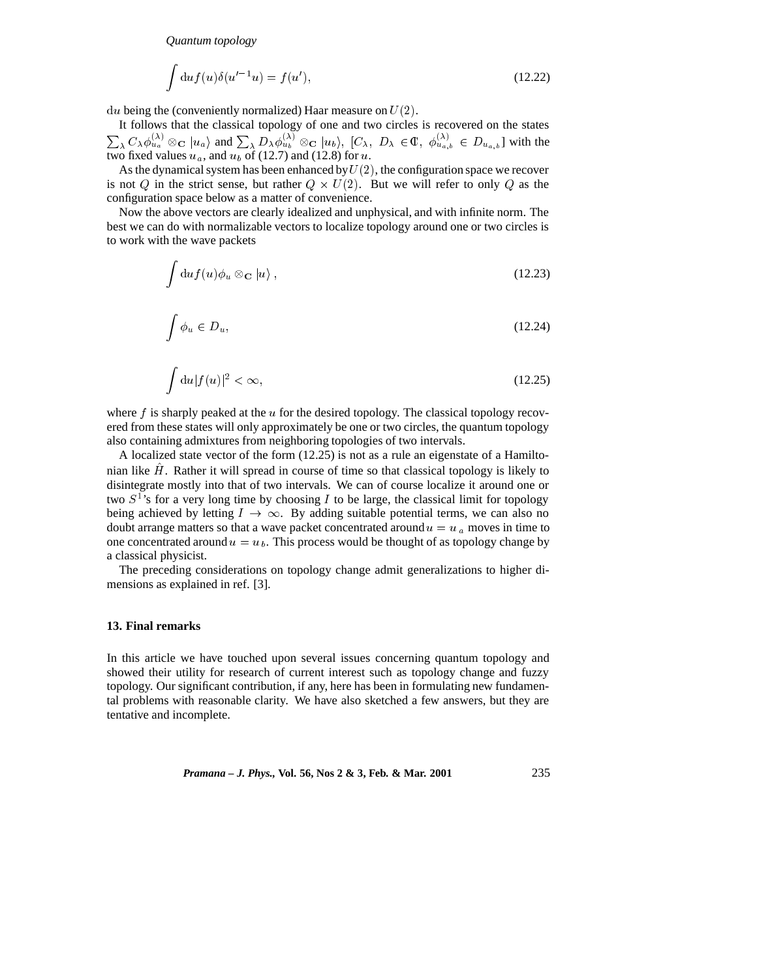z za zapisani za nastani za nastani za nastani za nastani za nastani za nastani za nastani za nastani za nasta

Z

$$
\int du f(u)\delta(u'^{-1}u) = f(u'), \qquad (12.22)
$$

 $du$  being the (conveniently normalized) Haar measure on  $U(2)$ .

It follows that the classical topology of one and two circles is recovered on the states  $\sum_{\lambda} C_{\lambda} \phi_{u_a}^{(\lambda)} \otimes_{\mathbf{C}} |u_a\rangle$  and  $\sum_{\lambda} D_{\lambda} \phi_{u_b}^{(\lambda)} \otimes_{\mathbf{C}} |u_b\rangle$ ,  $[C_{\lambda}, D_{\lambda} \in \mathbb{C}, \phi_{u_a,b}^{(\lambda)} \in D_{u_a,b}]$  with the two fixed values  $u_a$ , and  $u_b$  of (12.7) and (12.8) for  $u$ .

As the dynamical system has been enhanced by  $U(2)$ , the configuration space we recover is not Q in the strict sense, but rather  $Q \times U(2)$ . But we will refer to only Q as the configuration space below as a matter of convenience.

Now the above vectors are clearly idealized and unphysical, and with infinite norm. The best we can do with normalizable vectors to localize topology around one or two circles is to work with the wave packets

$$
\int du f(u)\phi_u \otimes_{\mathbf{C}} |u\rangle , \qquad (12.23)
$$

$$
\int \phi_u \in D_u,\tag{12.24}
$$

$$
\int \mathrm{d}u |f(u)|^2 < \infty,\tag{12.25}
$$

where  $f$  is sharply peaked at the  $u$  for the desired topology. The classical topology recovered from these states will only approximately be one or two circles, the quantum topology also containing admixtures from neighboring topologies of two intervals.

A localized state vector of the form (12.25) is not as a rule an eigenstate of a Hamiltonian like  $H$ . Rather it will spread in course of time so that classical topology is likely to disintegrate mostly into that of two intervals. We can of course localize it around one or two  $S^1$ 's for a very long time by choosing I to be large, the classical limit for topology being achieved by letting  $I \rightarrow \infty$ . By adding suitable potential terms, we can also no doubt arrange matters so that a wave packet concentrated around  $u = u_a$  moves in time to one concentrated around  $u = u<sub>b</sub>$ . This process would be thought of as topology change by a classical physicist.

The preceding considerations on topology change admit generalizations to higher dimensions as explained in ref. [3].

# **13. Final remarks**

In this article we have touched upon several issues concerning quantum topology and showed their utility for research of current interest such as topology change and fuzzy topology. Our significant contribution, if any, here has been in formulating new fundamental problems with reasonable clarity. We have also sketched a few answers, but they are tentative and incomplete.

*Pramana – J. Phys.,* **Vol. 56, Nos 2 & 3, Feb. & Mar. 2001** 235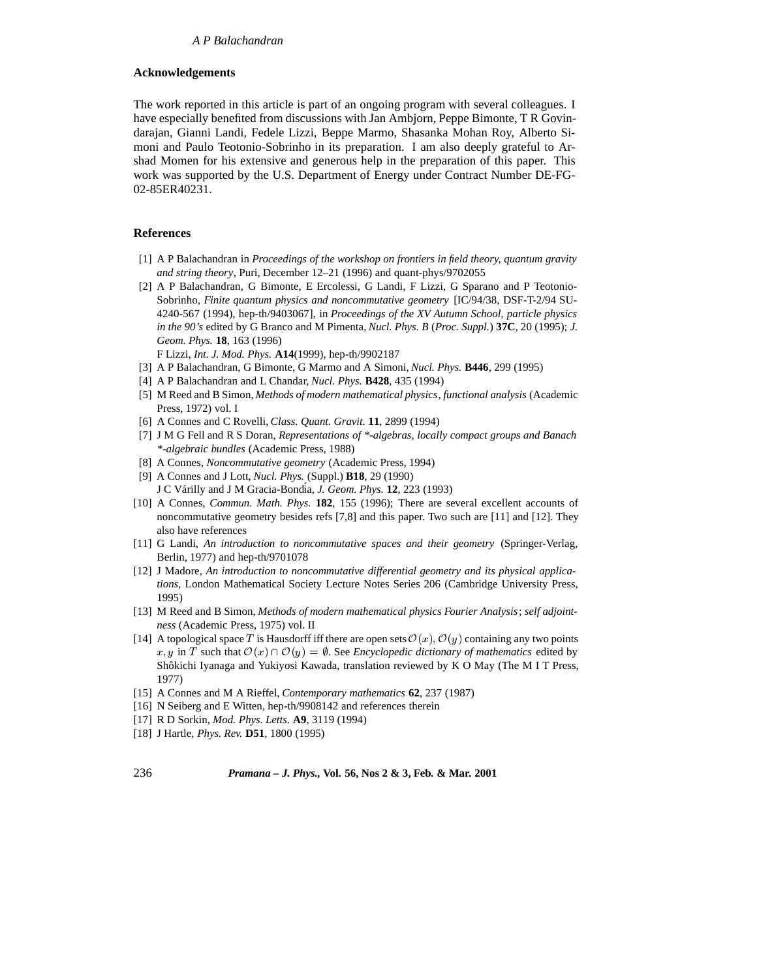# **Acknowledgements**

The work reported in this article is part of an ongoing program with several colleagues. I have especially benefited from discussions with Jan Ambjorn, Peppe Bimonte, T R Govindarajan, Gianni Landi, Fedele Lizzi, Beppe Marmo, Shasanka Mohan Roy, Alberto Simoni and Paulo Teotonio-Sobrinho in its preparation. I am also deeply grateful to Arshad Momen for his extensive and generous help in the preparation of this paper. This work was supported by the U.S. Department of Energy under Contract Number DE-FG-02-85ER40231.

### **References**

- [1] A P Balachandran in *Proceedings of the workshop on frontiers in field theory, quantum gravity and string theory*, Puri, December 12–21 (1996) and quant-phys/9702055
- [2] A P Balachandran, G Bimonte, E Ercolessi, G Landi, F Lizzi, G Sparano and P Teotonio-Sobrinho, *Finite quantum physics and noncommutative geometry* [IC/94/38, DSF-T-2/94 SU-4240-567 (1994), hep-th/9403067], in *Proceedings of the XV Autumn School, particle physics in the 90's* edited by G Branco and M Pimenta, *Nucl. Phys. B* (*Proc. Suppl.*) **37C**, 20 (1995); *J. Geom. Phys.* **18**, 163 (1996)

F Lizzi, *Int. J. Mod. Phys.* **A14**(1999), hep-th/9902187

- [3] A P Balachandran, G Bimonte, G Marmo and A Simoni, *Nucl. Phys.* **B446**, 299 (1995)
- [4] A P Balachandran and L Chandar, *Nucl. Phys.* **B428**, 435 (1994)
- [5] M Reed and B Simon, *Methods of modern mathematical physics*, *functional analysis* (Academic Press, 1972) vol. I
- [6] A Connes and C Rovelli, *Class. Quant. Gravit.* **11**, 2899 (1994)
- [7] J M G Fell and R S Doran, *Representations of \*-algebras, locally compact groups and Banach \*-algebraic bundles* (Academic Press, 1988)
- [8] A Connes, *Noncommutative geometry* (Academic Press, 1994)
- [9] A Connes and J Lott, *Nucl. Phys.* (Suppl.) **B18**, 29 (1990) J C V´arilly and J M Gracia-Bond´ia, *J. Geom. Phys.* **12**, 223 (1993)
- [10] A Connes, *Commun. Math. Phys.* **182**, 155 (1996); There are several excellent accounts of noncommutative geometry besides refs [7,8] and this paper. Two such are [11] and [12]. They also have references
- [11] G Landi, *An introduction to noncommutative spaces and their geometry* (Springer-Verlag, Berlin, 1977) and hep-th/9701078
- [12] J Madore, *An introduction to noncommutative differential geometry and its physical applications*, London Mathematical Society Lecture Notes Series 206 (Cambridge University Press, 1995)
- [13] M Reed and B Simon, *Methods of modern mathematical physics Fourier Analysis*; *self adjointness* (Academic Press, 1975) vol. II
- [14] A topological space T is Hausdorff iff there are open sets  $\mathcal{O}(x)$ ,  $\mathcal{O}(y)$  containing any two points x, y in T such that  $\mathcal{O}(x) \cap \mathcal{O}(y) = \emptyset$ . See *Encyclopedic dictionary of mathematics* edited by Shôkichi Iyanaga and Yukiyosi Kawada, translation reviewed by K O May (The M I T Press, 1977)
- [15] A Connes and M A Rieffel, *Contemporary mathematics* **62**, 237 (1987)
- [16] N Seiberg and E Witten, hep-th/9908142 and references therein
- [17] R D Sorkin, *Mod. Phys. Letts.* **A9**, 3119 (1994)
- [18] J Hartle, *Phys. Rev.* **D51**, 1800 (1995)